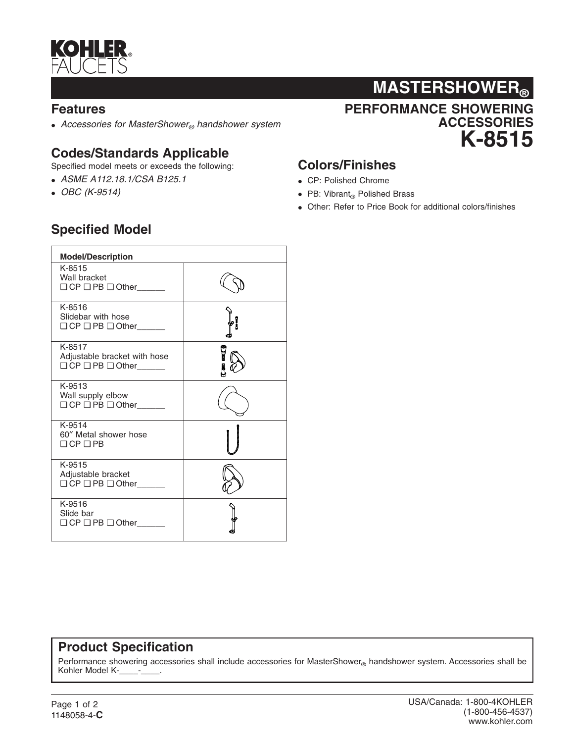

#### **Features**

• *Accessories for MasterShower® handshower system*

### **Codes/Standards Applicable**

Specified model meets or exceeds the following:

- *ASME A112.18.1/CSA B125.1*
- *OBC (K-9514)*

## **PERFORMANCE SHOWERING ACCESSORIES K-8515 MASTERSHOWER®**

#### **Colors/Finishes**

- CP: Polished Chrome
- PB: Vibrant $_{\odot}$  Polished Brass
- Other: Refer to Price Book for additional colors/finishes

## **Specified Model**

| <b>Model/Description</b>                                            |  |
|---------------------------------------------------------------------|--|
| K-8515<br>Wall bracket<br>$\square$ CP $\square$ PB $\square$ Other |  |
| K-8516<br>Slidebar with hose<br>$\Box$ CP $\Box$ PB $\Box$ Other    |  |
| K-8517<br>Adjustable bracket with hose<br>O CP O PB O Other_____    |  |
| K-9513<br>Wall supply elbow<br>$\Box$ CP $\Box$ PB $\Box$ Other     |  |
| K-9514<br>60" Metal shower hose<br>$\Box$ CP $\Box$ PB              |  |
| K-9515<br>Adjustable bracket<br>$\Box$ CP $\Box$ PB $\Box$ Other    |  |
| K-9516<br>Slide bar<br>□ CP □ PB □ Other                            |  |

# **Product Specification**

Performance showering accessories shall include accessories for MasterShower® handshower system. Accessories shall be Kohler Model K-\_\_\_\_\_-\_